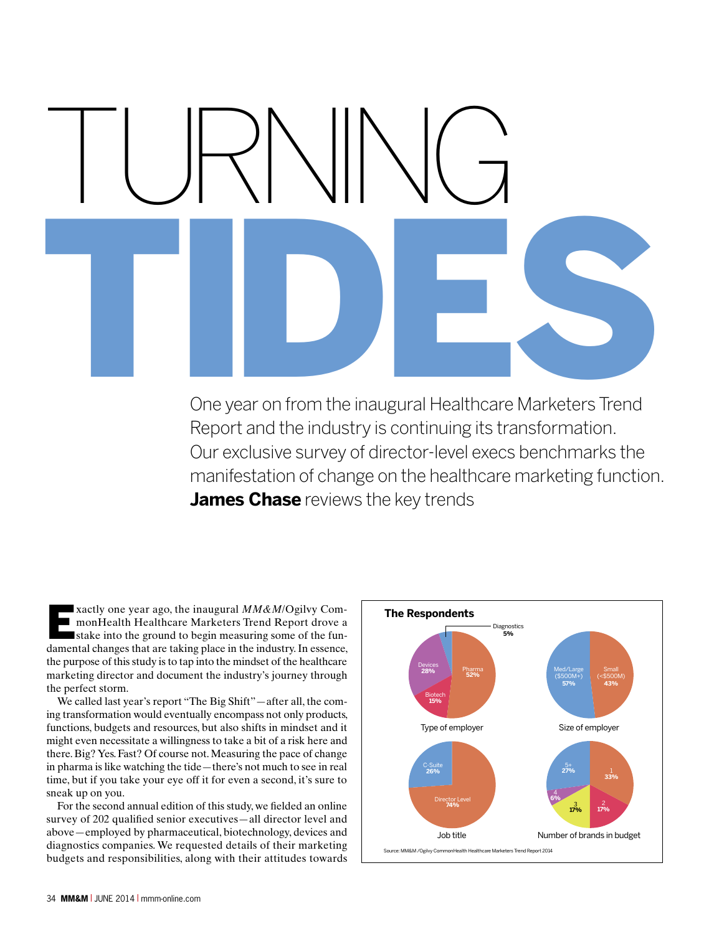# TURNING One year on from the inaugural Healthcare Marketers Trend

One year on from the inaugural Healthcare Marketers Trend Report and the industry is continuing its transformation. Our exclusive survey of director-level execs benchmarks the manifestation of change on the healthcare marketing function. **James Chase** reviews the key trends

xactly one year ago, the inaugural  $MM\&M/O$ gilvy Com-<br>monHealth Healthcare Marketers Trend Report drove a<br>stake into the ground to begin measuring some of the funmonHealth Healthcare Marketers Trend Report drove a stake into the ground to begin measuring some of the fundamental changes that are taking place in the industry. In essence, the purpose of this study is to tap into the mindset of the healthcare marketing director and document the industry's journey through the perfect storm.

We called last year's report "The Big Shift"—after all, the coming transformation would eventually encompass not only products, functions, budgets and resources, but also shifts in mindset and it might even necessitate a willingness to take a bit of a risk here and there. Big? Yes. Fast? Of course not. Measuring the pace of change in pharma is like watching the tide—there's not much to see in real time, but if you take your eye off it for even a second, it's sure to sneak up on you.

For the second annual edition of this study, we fielded an online survey of 202 qualified senior executives—all director level and above—employed by pharmaceutical, biotechnology, devices and diagnostics companies. We requested details of their marketing budgets and responsibilities, along with their attitudes towards

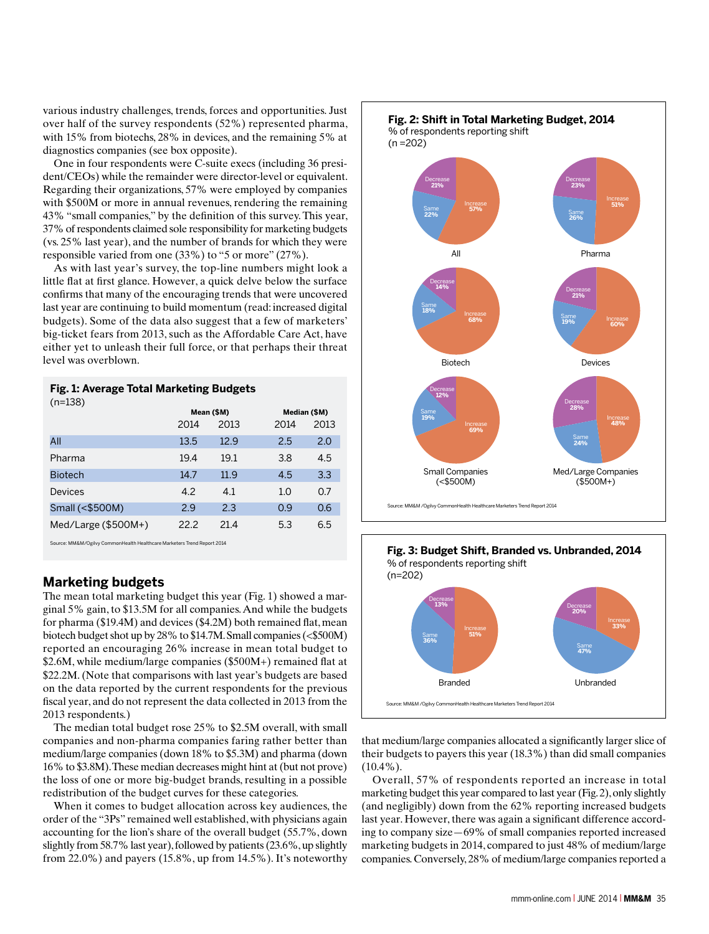various industry challenges, trends, forces and opportunities. Just over half of the survey respondents (52%) represented pharma, with 15% from biotechs, 28% in devices, and the remaining 5% at diagnostics companies (see box opposite).

One in four respondents were C-suite execs (including 36 president/CEOs) while the remainder were director-level or equivalent. Regarding their organizations, 57% were employed by companies with \$500M or more in annual revenues, rendering the remaining 43% "small companies," by the definition of this survey. This year, 37% of respondents claimed sole responsibility for marketing budgets (vs. 25% last year), and the number of brands for which they were responsible varied from one (33%) to "5 or more" (27%).

As with last year's survey, the top-line numbers might look a little flat at first glance. However, a quick delve below the surface confirms that many of the encouraging trends that were uncovered last year are continuing to build momentum (read: increased digital budgets). Some of the data also suggest that a few of marketers' big-ticket fears from 2013, such as the Affordable Care Act, have either yet to unleash their full force, or that perhaps their threat level was overblown.

### **Fig. 1: Average Total Marketing Budgets**  $(n=138)$

| $\cdot$ .             | Mean (\$M) |      | Median (\$M) |      |
|-----------------------|------------|------|--------------|------|
|                       | 2014       | 2013 | 2014         | 2013 |
| All                   | 13.5       | 12.9 | 2.5          | 2.0  |
| Pharma                | 19.4       | 19.1 | 3.8          | 4.5  |
| <b>Biotech</b>        | 14.7       | 11.9 | 4.5          | 3.3  |
| Devices               | 4.2        | 4.1  | 1.0          | 0.7  |
| Small (<\$500M)       | 2.9        | 2.3  | 0.9          | 0.6  |
| $Med/Large$ (\$500M+) | 22.2       | 21.4 | 5.3          | 6.5  |

Source: MM&M/Ogilvy CommonHealth Healthcare Marketers Trend Report 2014

# **Marketing budgets**

The mean total marketing budget this year (Fig. 1) showed a marginal 5% gain, to \$13.5M for all companies. And while the budgets for pharma (\$19.4M) and devices (\$4.2M) both remained flat, mean biotech budget shot up by 28% to \$14.7M. Small companies (<\$500M) reported an encouraging 26% increase in mean total budget to \$2.6M, while medium/large companies (\$500M+) remained flat at \$22.2M. (Note that comparisons with last year's budgets are based on the data reported by the current respondents for the previous fiscal year, and do not represent the data collected in 2013 from the 2013 respondents.)

The median total budget rose 25% to \$2.5M overall, with small companies and non-pharma companies faring rather better than medium/large companies (down 18% to \$5.3M) and pharma (down 16% to \$3.8M). These median decreases might hint at (but not prove) the loss of one or more big-budget brands, resulting in a possible redistribution of the budget curves for these categories.

When it comes to budget allocation across key audiences, the order of the "3Ps" remained well established, with physicians again accounting for the lion's share of the overall budget (55.7%, down slightly from 58.7% last year), followed by patients (23.6%, up slightly from 22.0%) and payers (15.8%, up from 14.5%). It's noteworthy





that medium/large companies allocated a significantly larger slice of their budgets to payers this year (18.3%) than did small companies (10.4%).

Overall, 57% of respondents reported an increase in total marketing budget this year compared to last year (Fig. 2), only slightly (and negligibly) down from the 62% reporting increased budgets last year. However, there was again a significant difference according to company size—69% of small companies reported increased marketing budgets in 2014, compared to just 48% of medium/large companies. Conversely, 28% of medium/large companies reported a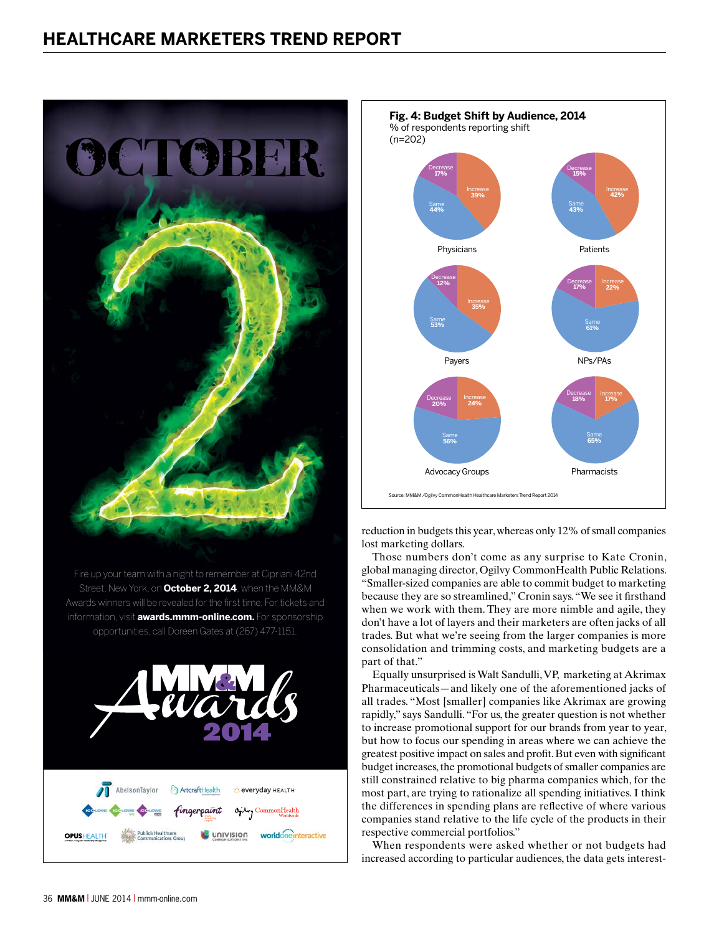

Fire up your team with a night to remember at Cipriani 42nd Street, New York, on **October 2, 2014**, when the MM&M Awards winners will be revealed for the first time. For tickets and information, visit **awards.mmm-online.com.** For sponsorship opportunities, call Doreen Gates at (267) 477-1151.





reduction in budgets this year, whereas only 12% of small companies lost marketing dollars.

Those numbers don't come as any surprise to Kate Cronin, global managing director, Ogilvy CommonHealth Public Relations. "Smaller-sized companies are able to commit budget to marketing because they are so streamlined," Cronin says. "We see it firsthand when we work with them. They are more nimble and agile, they don't have a lot of layers and their marketers are often jacks of all trades. But what we're seeing from the larger companies is more consolidation and trimming costs, and marketing budgets are a part of that."

Equally unsurprised is Walt Sandulli, VP, marketing at Akrimax Pharmaceuticals—and likely one of the aforementioned jacks of all trades. "Most [smaller] companies like Akrimax are growing rapidly," says Sandulli. "For us, the greater question is not whether to increase promotional support for our brands from year to year, but how to focus our spending in areas where we can achieve the greatest positive impact on sales and profit. But even with significant budget increases, the promotional budgets of smaller companies are still constrained relative to big pharma companies which, for the most part, are trying to rationalize all spending initiatives. I think the differences in spending plans are reflective of where various companies stand relative to the life cycle of the products in their respective commercial portfolios."

When respondents were asked whether or not budgets had increased according to particular audiences, the data gets interest-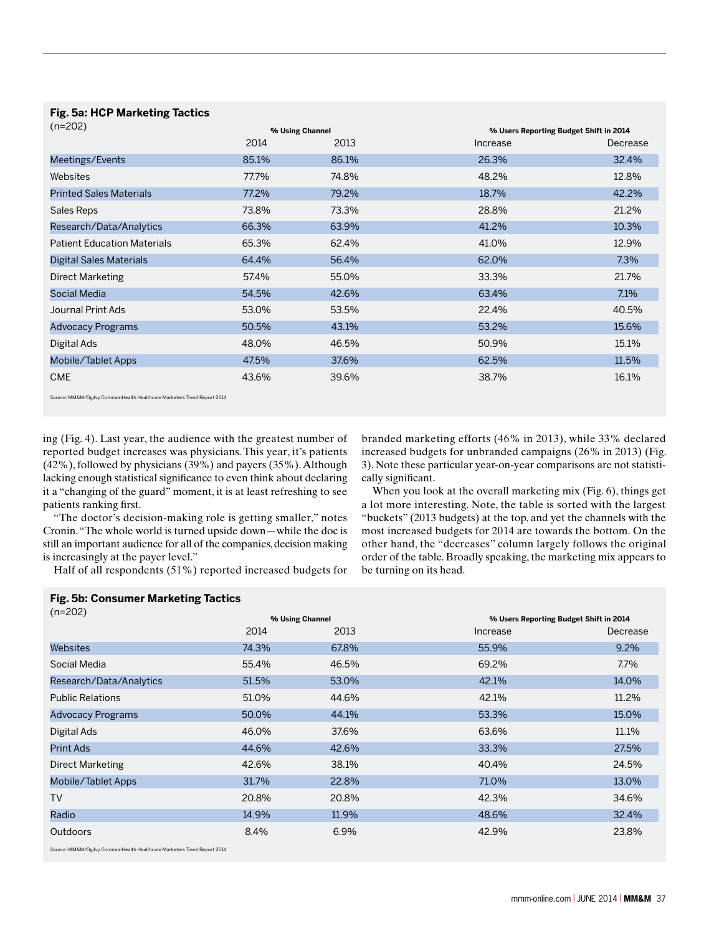**Fig. 5a: HCP Marketing Tactics** 

| $(n=202)$                          |       | % Using Channel |          | % Users Reporting Budget Shift in 2014 |  |
|------------------------------------|-------|-----------------|----------|----------------------------------------|--|
|                                    | 2014  | 2013            | Increase | Decrease                               |  |
| Meetings/Events                    | 85.1% | 86.1%           | 26.3%    | 32.4%                                  |  |
| Websites                           | 77.7% | 74.8%           | 48.2%    | 12.8%                                  |  |
| <b>Printed Sales Materials</b>     | 77.2% | 79.2%           | 18.7%    | 42.2%                                  |  |
| Sales Reps                         | 73.8% | 73.3%           | 28.8%    | 21.2%                                  |  |
| Research/Data/Analytics            | 66.3% | 63.9%           | 41.2%    | 10.3%                                  |  |
| <b>Patient Education Materials</b> | 65.3% | 62.4%           | 41.0%    | 12.9%                                  |  |
| Digital Sales Materials            | 64.4% | 56.4%           | 62.0%    | 7.3%                                   |  |
| Direct Marketing                   | 57.4% | 55.0%           | 33.3%    | 21.7%                                  |  |
| <b>Social Media</b>                | 54.5% | 42.6%           | 63.4%    | 7.1%                                   |  |
| Journal Print Ads                  | 53.0% | 53.5%           | 22.4%    | 40.5%                                  |  |
| <b>Advocacy Programs</b>           | 50.5% | 43.1%           | 53.2%    | 15.6%                                  |  |
| Digital Ads                        | 48.0% | 46.5%           | 50.9%    | 15.1%                                  |  |
| Mobile/Tablet Apps                 | 47.5% | 37.6%           | 62.5%    | 11.5%                                  |  |
| <b>CME</b>                         | 43.6% | 39.6%           | 38.7%    | 16.1%                                  |  |

Source: MM&M/Ogilvy CommonHealth Healthcare Marketers Trend Report 2014

**Fig. 5b: Consumer Marketing Tactics** 

ing (Fig. 4). Last year, the audience with the greatest number of reported budget increases was physicians. This year, it's patients (42%), followed by physicians (39%) and payers (35%). Although lacking enough statistical significance to even think about declaring it a "changing of the guard" moment, it is at least refreshing to see patients ranking first.

"The doctor's decision-making role is getting smaller," notes Cronin. "The whole world is turned upside down—while the doc is still an important audience for all of the companies, decision making is increasingly at the payer level."

Half of all respondents (51%) reported increased budgets for

branded marketing efforts (46% in 2013), while 33% declared increased budgets for unbranded campaigns (26% in 2013) (Fig. 3). Note these particular year-on-year comparisons are not statistically significant.

When you look at the overall marketing mix (Fig. 6), things get a lot more interesting. Note, the table is sorted with the largest "buckets" (2013 budgets) at the top, and yet the channels with the most increased budgets for 2014 are towards the bottom. On the other hand, the "decreases" column largely follows the original order of the table. Broadly speaking, the marketing mix appears to be turning on its head.

| $(n=202)$                |       | % Using Channel |          | % Users Reporting Budget Shift in 2014 |  |
|--------------------------|-------|-----------------|----------|----------------------------------------|--|
|                          | 2014  | 2013            | Increase | Decrease                               |  |
| Websites                 | 74.3% | 67.8%           | 55.9%    | 9.2%                                   |  |
| Social Media             | 55.4% | 46.5%           | 69.2%    | 7.7%                                   |  |
| Research/Data/Analytics  | 51.5% | 53.0%           | 42.1%    | 14.0%                                  |  |
| <b>Public Relations</b>  | 51.0% | 44.6%           | 42.1%    | 11.2%                                  |  |
| <b>Advocacy Programs</b> | 50.0% | 44.1%           | 53.3%    | 15.0%                                  |  |
| Digital Ads              | 46.0% | 37.6%           | 63.6%    | 11.1%                                  |  |
| <b>Print Ads</b>         | 44.6% | 42.6%           | 33.3%    | 27.5%                                  |  |
| <b>Direct Marketing</b>  | 42.6% | 38.1%           | 40.4%    | 24.5%                                  |  |
| Mobile/Tablet Apps       | 31.7% | 22.8%           | 71.0%    | 13.0%                                  |  |
| <b>TV</b>                | 20.8% | 20.8%           | 42.3%    | 34.6%                                  |  |
| Radio                    | 14.9% | 11.9%           | 48.6%    | 32.4%                                  |  |
| <b>Outdoors</b>          | 8.4%  | 6.9%            | 42.9%    | 23.8%                                  |  |

Source: MM&M/Ogilvy CommonHealth Healthcare Marketers Trend Report 2014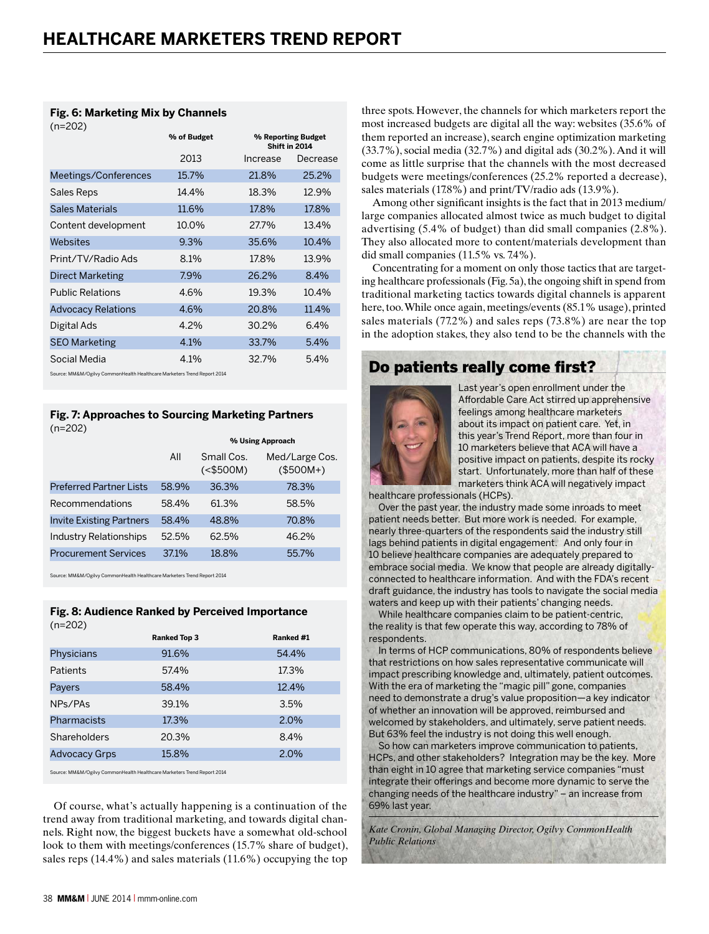# **Fig. 6: Marketing Mix by Channels**

| $(n=202)$                                                                 |             |                                     |          |
|---------------------------------------------------------------------------|-------------|-------------------------------------|----------|
|                                                                           | % of Budget | % Reporting Budget<br>Shift in 2014 |          |
|                                                                           | 2013        | Increase                            | Decrease |
| Meetings/Conferences                                                      | 15.7%       | 21.8%                               | 25.2%    |
| Sales Reps                                                                | 14.4%       | 18.3%                               | 12.9%    |
| <b>Sales Materials</b>                                                    | 11.6%       | 17.8%                               | 17.8%    |
| Content development                                                       | 10.0%       | 27.7%                               | 13.4%    |
| Websites                                                                  | 9.3%        | 35.6%                               | 10.4%    |
| Print/TV/Radio Ads                                                        | 8.1%        | 17.8%                               | 13.9%    |
| <b>Direct Marketing</b>                                                   | 7.9%        | 26.2%                               | 8.4%     |
| <b>Public Relations</b>                                                   | 4.6%        | 19.3%                               | 10.4%    |
| <b>Advocacy Relations</b>                                                 | 4.6%        | 20.8%                               | 11.4%    |
| Digital Ads                                                               | 4.2%        | 30.2%                               | 6.4%     |
| <b>SEO Marketing</b>                                                      | 4.1%        | 33.7%                               | 5.4%     |
| Social Media                                                              | 4.1%        | 32.7%                               | 5.4%     |
| Course: MMPM (Osilus CommonWorlth Hoalthoarn Marketers Trand Report 2014) |             |                                     |          |

Source: MM&M/Ogilvy CommonHealth Healthcare Marketers Trend Report 2014

### **Fig. 7: Approaches to Sourcing Marketing Partners**   $(n=202)$

|                                 |       | % Using Approach           |                              |  |
|---------------------------------|-------|----------------------------|------------------------------|--|
|                                 | All   | Small Cos.<br>$(<$ \$500M) | Med/Large Cos.<br>$($500M+)$ |  |
| <b>Preferred Partner Lists</b>  | 58.9% | 36.3%                      | 78.3%                        |  |
| Recommendations                 | 58.4% | 61.3%                      | 58.5%                        |  |
| <b>Invite Existing Partners</b> | 58.4% | 48.8%                      | 70.8%                        |  |
| <b>Industry Relationships</b>   | 52.5% | 62.5%                      | 46.2%                        |  |
| <b>Procurement Services</b>     | 37.1% | 18.8%                      | 55.7%                        |  |

Source: MM&M/Ogilvy CommonHealth Healthcare Marketers Trend Report 2014

### **Fig. 8: Audience Ranked by Perceived Importance**   $(n-202)$

| $\cdots$ $\cdots$    |                     |           |
|----------------------|---------------------|-----------|
|                      | <b>Ranked Top 3</b> | Ranked #1 |
| Physicians           | 91.6%               | 54.4%     |
| Patients             | 57.4%               | 17.3%     |
| Payers               | 58.4%               | 12.4%     |
| NPs/PAs              | 39.1%               | 3.5%      |
| Pharmacists          | 17.3%               | 2.0%      |
| Shareholders         | 20.3%               | 8.4%      |
| <b>Advocacy Grps</b> | 15.8%               | 2.0%      |
|                      |                     |           |

Source: MM&M/Ogilvy CommonHealth Healthcare Marketers Trend Report 2014

Of course, what's actually happening is a continuation of the trend away from traditional marketing, and towards digital channels. Right now, the biggest buckets have a somewhat old-school look to them with meetings/conferences (15.7% share of budget), sales reps (14.4%) and sales materials (11.6%) occupying the top three spots. However, the channels for which marketers report the most increased budgets are digital all the way: websites (35.6% of them reported an increase), search engine optimization marketing (33.7%), social media (32.7%) and digital ads (30.2%). And it will come as little surprise that the channels with the most decreased budgets were meetings/conferences (25.2% reported a decrease), sales materials (17.8%) and print/TV/radio ads (13.9%).

Among other significant insights is the fact that in 2013 medium/ large companies allocated almost twice as much budget to digital advertising (5.4% of budget) than did small companies (2.8%). They also allocated more to content/materials development than did small companies (11.5% vs. 7.4%).

Concentrating for a moment on only those tactics that are targeting healthcare professionals (Fig. 5a), the ongoing shift in spend from traditional marketing tactics towards digital channels is apparent here, too. While once again, meetings/events (85.1% usage), printed sales materials (77.2%) and sales reps (73.8%) are near the top in the adoption stakes, they also tend to be the channels with the

# Do patients really come first?



Last year's open enrollment under the Affordable Care Act stirred up apprehensive feelings among healthcare marketers about its impact on patient care. Yet, in this year's Trend Report, more than four in 10 marketers believe that ACA will have a positive impact on patients, despite its rocky start. Unfortunately, more than half of these marketers think ACA will negatively impact

healthcare professionals (HCPs).

Over the past year, the industry made some inroads to meet patient needs better. But more work is needed. For example, nearly three-quarters of the respondents said the industry still lags behind patients in digital engagement. And only four in 10 believe healthcare companies are adequately prepared to embrace social media. We know that people are already digitallyconnected to healthcare information. And with the FDA's recent draft guidance, the industry has tools to navigate the social media waters and keep up with their patients' changing needs.

While healthcare companies claim to be patient-centric, the reality is that few operate this way, according to 78% of respondents.

In terms of HCP communications, 80% of respondents believe that restrictions on how sales representative communicate will impact prescribing knowledge and, ultimately, patient outcomes. With the era of marketing the "magic pill" gone, companies need to demonstrate a drug's value proposition—a key indicator of whether an innovation will be approved, reimbursed and welcomed by stakeholders, and ultimately, serve patient needs. But 63% feel the industry is not doing this well enough.

So how can marketers improve communication to patients, HCPs, and other stakeholders? Integration may be the key. More than eight in 10 agree that marketing service companies "must integrate their offerings and become more dynamic to serve the changing needs of the healthcare industry" – an increase from 69% last year.

*Kate Cronin, Global Managing Director, Ogilvy CommonHealth Public Relations*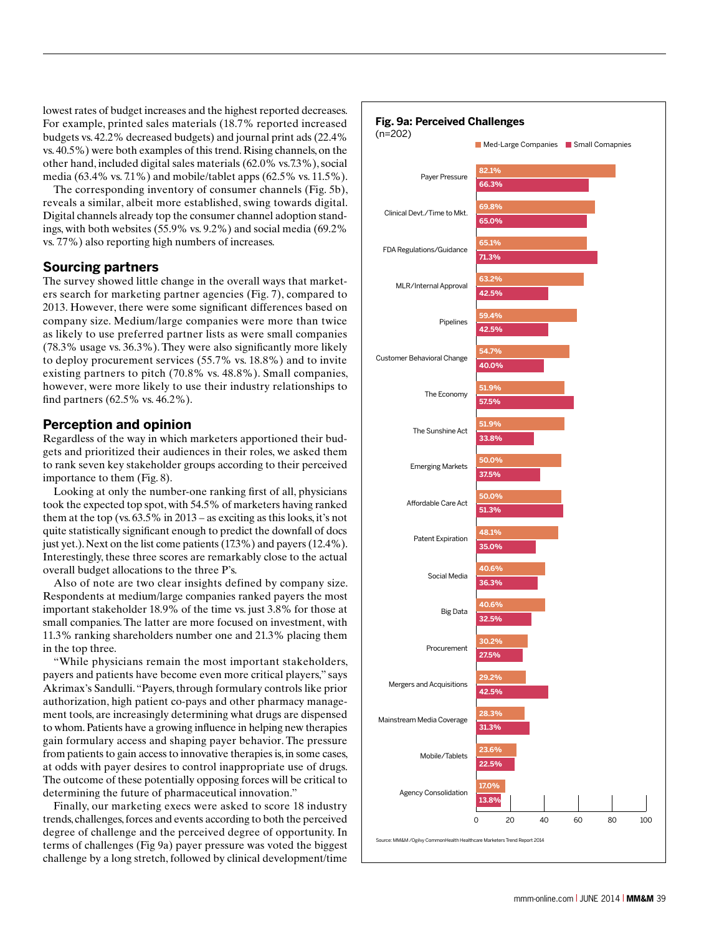lowest rates of budget increases and the highest reported decreases. For example, printed sales materials (18.7% reported increased budgets vs. 42.2% decreased budgets) and journal print ads (22.4% vs. 40.5%) were both examples of this trend. Rising channels, on the other hand, included digital sales materials (62.0% vs.7.3%), social media (63.4% vs. 7.1%) and mobile/tablet apps (62.5% vs. 11.5%).

The corresponding inventory of consumer channels (Fig. 5b), reveals a similar, albeit more established, swing towards digital. Digital channels already top the consumer channel adoption standings, with both websites (55.9% vs. 9.2%) and social media (69.2% vs. 7.7%) also reporting high numbers of increases.

## **Sourcing partners**

The survey showed little change in the overall ways that marketers search for marketing partner agencies (Fig. 7), compared to 2013. However, there were some significant differences based on company size. Medium/large companies were more than twice as likely to use preferred partner lists as were small companies (78.3% usage vs. 36.3%). They were also significantly more likely to deploy procurement services (55.7% vs. 18.8%) and to invite existing partners to pitch (70.8% vs. 48.8%). Small companies, however, were more likely to use their industry relationships to find partners (62.5% vs. 46.2%).

# **Perception and opinion**

Regardless of the way in which marketers apportioned their budgets and prioritized their audiences in their roles, we asked them to rank seven key stakeholder groups according to their perceived importance to them (Fig. 8).

Looking at only the number-one ranking first of all, physicians took the expected top spot, with 54.5% of marketers having ranked them at the top (vs. 63.5% in 2013 – as exciting as this looks, it's not quite statistically significant enough to predict the downfall of docs just yet.). Next on the list come patients (17.3%) and payers (12.4%). Interestingly, these three scores are remarkably close to the actual overall budget allocations to the three P's.

Also of note are two clear insights defined by company size. Respondents at medium/large companies ranked payers the most important stakeholder 18.9% of the time vs. just 3.8% for those at small companies. The latter are more focused on investment, with 11.3% ranking shareholders number one and 21.3% placing them in the top three.

"While physicians remain the most important stakeholders, payers and patients have become even more critical players," says Akrimax's Sandulli. "Payers, through formulary controls like prior authorization, high patient co-pays and other pharmacy management tools, are increasingly determining what drugs are dispensed to whom. Patients have a growing influence in helping new therapies gain formulary access and shaping payer behavior. The pressure from patients to gain access to innovative therapies is, in some cases, at odds with payer desires to control inappropriate use of drugs. The outcome of these potentially opposing forces will be critical to determining the future of pharmaceutical innovation."

Finally, our marketing execs were asked to score 18 industry trends, challenges, forces and events according to both the perceived degree of challenge and the perceived degree of opportunity. In terms of challenges (Fig 9a) payer pressure was voted the biggest challenge by a long stretch, followed by clinical development/time